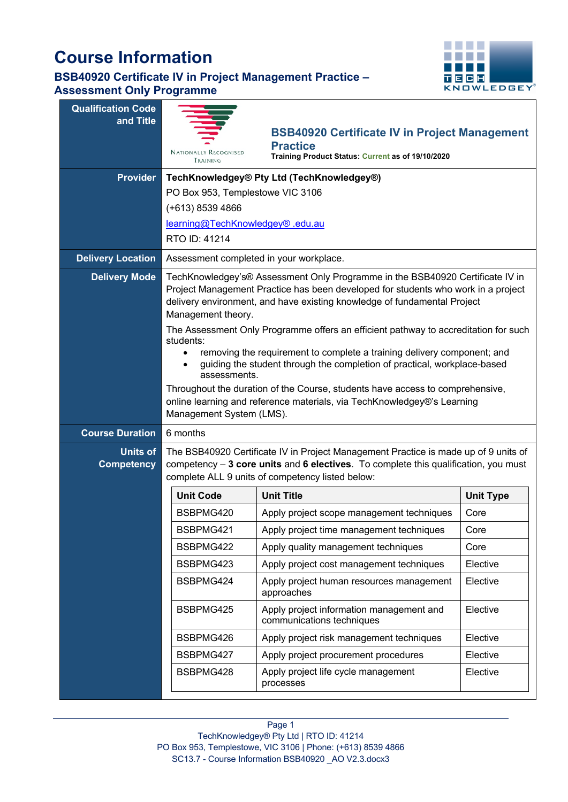# **Course Information**



| <b>Qualification Code</b><br>and Title |                                                                                                                                                                                                                                                                                      |                                                                                                                                                                                                                                |                  |  |  |  |
|----------------------------------------|--------------------------------------------------------------------------------------------------------------------------------------------------------------------------------------------------------------------------------------------------------------------------------------|--------------------------------------------------------------------------------------------------------------------------------------------------------------------------------------------------------------------------------|------------------|--|--|--|
|                                        |                                                                                                                                                                                                                                                                                      | <b>BSB40920 Certificate IV in Project Management</b>                                                                                                                                                                           |                  |  |  |  |
|                                        | <b>NATIONALLY RECOGNISED</b><br>TRAINING                                                                                                                                                                                                                                             | <b>Practice</b><br>Training Product Status: Current as of 19/10/2020                                                                                                                                                           |                  |  |  |  |
| <b>Provider</b>                        | TechKnowledgey® Pty Ltd (TechKnowledgey®)                                                                                                                                                                                                                                            |                                                                                                                                                                                                                                |                  |  |  |  |
|                                        |                                                                                                                                                                                                                                                                                      | PO Box 953, Templestowe VIC 3106                                                                                                                                                                                               |                  |  |  |  |
|                                        | (+613) 8539 4866                                                                                                                                                                                                                                                                     |                                                                                                                                                                                                                                |                  |  |  |  |
|                                        | learning@TechKnowledgey® .edu.au                                                                                                                                                                                                                                                     |                                                                                                                                                                                                                                |                  |  |  |  |
|                                        | RTO ID: 41214                                                                                                                                                                                                                                                                        |                                                                                                                                                                                                                                |                  |  |  |  |
| <b>Delivery Location</b>               |                                                                                                                                                                                                                                                                                      | Assessment completed in your workplace.                                                                                                                                                                                        |                  |  |  |  |
| <b>Delivery Mode</b>                   | TechKnowledgey's® Assessment Only Programme in the BSB40920 Certificate IV in<br>Project Management Practice has been developed for students who work in a project<br>delivery environment, and have existing knowledge of fundamental Project<br>Management theory.                 |                                                                                                                                                                                                                                |                  |  |  |  |
|                                        | The Assessment Only Programme offers an efficient pathway to accreditation for such<br>students:<br>removing the requirement to complete a training delivery component; and<br>$\bullet$<br>guiding the student through the completion of practical, workplace-based<br>assessments. |                                                                                                                                                                                                                                |                  |  |  |  |
|                                        | Throughout the duration of the Course, students have access to comprehensive,<br>online learning and reference materials, via TechKnowledgey®'s Learning<br>Management System (LMS).                                                                                                 |                                                                                                                                                                                                                                |                  |  |  |  |
| <b>Course Duration</b>                 | 6 months                                                                                                                                                                                                                                                                             |                                                                                                                                                                                                                                |                  |  |  |  |
| <b>Units of</b><br><b>Competency</b>   |                                                                                                                                                                                                                                                                                      | The BSB40920 Certificate IV in Project Management Practice is made up of 9 units of<br>competency - 3 core units and 6 electives. To complete this qualification, you must<br>complete ALL 9 units of competency listed below: |                  |  |  |  |
|                                        | <b>Unit Code</b>                                                                                                                                                                                                                                                                     | <b>Unit Title</b>                                                                                                                                                                                                              | <b>Unit Type</b> |  |  |  |
|                                        | BSBPMG420                                                                                                                                                                                                                                                                            | Apply project scope management techniques                                                                                                                                                                                      | Core             |  |  |  |
|                                        | BSBPMG421                                                                                                                                                                                                                                                                            | Apply project time management techniques                                                                                                                                                                                       | Core             |  |  |  |
|                                        | BSBPMG422                                                                                                                                                                                                                                                                            | Apply quality management techniques                                                                                                                                                                                            | Core             |  |  |  |
|                                        | BSBPMG423                                                                                                                                                                                                                                                                            | Elective                                                                                                                                                                                                                       |                  |  |  |  |
|                                        | Apply project human resources management<br>BSBPMG424<br>Elective<br>approaches                                                                                                                                                                                                      |                                                                                                                                                                                                                                |                  |  |  |  |
|                                        | Apply project information management and<br>Elective<br>BSBPMG425<br>communications techniques                                                                                                                                                                                       |                                                                                                                                                                                                                                |                  |  |  |  |
|                                        | BSBPMG426<br>Apply project risk management techniques<br>Elective                                                                                                                                                                                                                    |                                                                                                                                                                                                                                |                  |  |  |  |
|                                        | BSBPMG427<br>Elective<br>Apply project procurement procedures                                                                                                                                                                                                                        |                                                                                                                                                                                                                                |                  |  |  |  |
|                                        | Apply project life cycle management<br>Elective<br>BSBPMG428<br>processes                                                                                                                                                                                                            |                                                                                                                                                                                                                                |                  |  |  |  |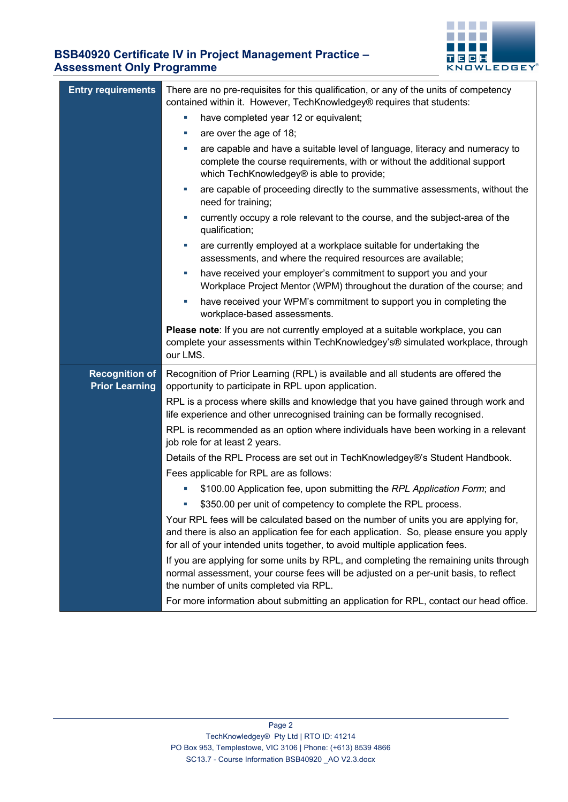

| <b>Entry requirements</b>                      | There are no pre-requisites for this qualification, or any of the units of competency<br>contained within it. However, TechKnowledgey® requires that students:                                                                                                |  |  |  |
|------------------------------------------------|---------------------------------------------------------------------------------------------------------------------------------------------------------------------------------------------------------------------------------------------------------------|--|--|--|
|                                                | have completed year 12 or equivalent;<br>ш                                                                                                                                                                                                                    |  |  |  |
|                                                | are over the age of 18;<br>ш                                                                                                                                                                                                                                  |  |  |  |
|                                                |                                                                                                                                                                                                                                                               |  |  |  |
|                                                | are capable and have a suitable level of language, literacy and numeracy to<br>complete the course requirements, with or without the additional support<br>which TechKnowledgey® is able to provide;                                                          |  |  |  |
|                                                | are capable of proceeding directly to the summative assessments, without the<br>ш<br>need for training;                                                                                                                                                       |  |  |  |
|                                                | currently occupy a role relevant to the course, and the subject-area of the<br>ш<br>qualification;                                                                                                                                                            |  |  |  |
|                                                | are currently employed at a workplace suitable for undertaking the<br>ш<br>assessments, and where the required resources are available;                                                                                                                       |  |  |  |
|                                                | have received your employer's commitment to support you and your<br>ш<br>Workplace Project Mentor (WPM) throughout the duration of the course; and                                                                                                            |  |  |  |
|                                                | have received your WPM's commitment to support you in completing the<br>E<br>workplace-based assessments.                                                                                                                                                     |  |  |  |
|                                                | Please note: If you are not currently employed at a suitable workplace, you can<br>complete your assessments within TechKnowledgey's® simulated workplace, through<br>our LMS.                                                                                |  |  |  |
| <b>Recognition of</b><br><b>Prior Learning</b> | Recognition of Prior Learning (RPL) is available and all students are offered the<br>opportunity to participate in RPL upon application.                                                                                                                      |  |  |  |
|                                                | RPL is a process where skills and knowledge that you have gained through work and<br>life experience and other unrecognised training can be formally recognised.                                                                                              |  |  |  |
|                                                | RPL is recommended as an option where individuals have been working in a relevant<br>job role for at least 2 years.                                                                                                                                           |  |  |  |
|                                                | Details of the RPL Process are set out in TechKnowledgey®'s Student Handbook.                                                                                                                                                                                 |  |  |  |
|                                                | Fees applicable for RPL are as follows:                                                                                                                                                                                                                       |  |  |  |
|                                                | \$100.00 Application fee, upon submitting the RPL Application Form; and                                                                                                                                                                                       |  |  |  |
|                                                | \$350.00 per unit of competency to complete the RPL process.                                                                                                                                                                                                  |  |  |  |
|                                                | Your RPL fees will be calculated based on the number of units you are applying for,<br>and there is also an application fee for each application. So, please ensure you apply<br>for all of your intended units together, to avoid multiple application fees. |  |  |  |
|                                                | If you are applying for some units by RPL, and completing the remaining units through<br>normal assessment, your course fees will be adjusted on a per-unit basis, to reflect<br>the number of units completed via RPL.                                       |  |  |  |
|                                                | For more information about submitting an application for RPL, contact our head office.                                                                                                                                                                        |  |  |  |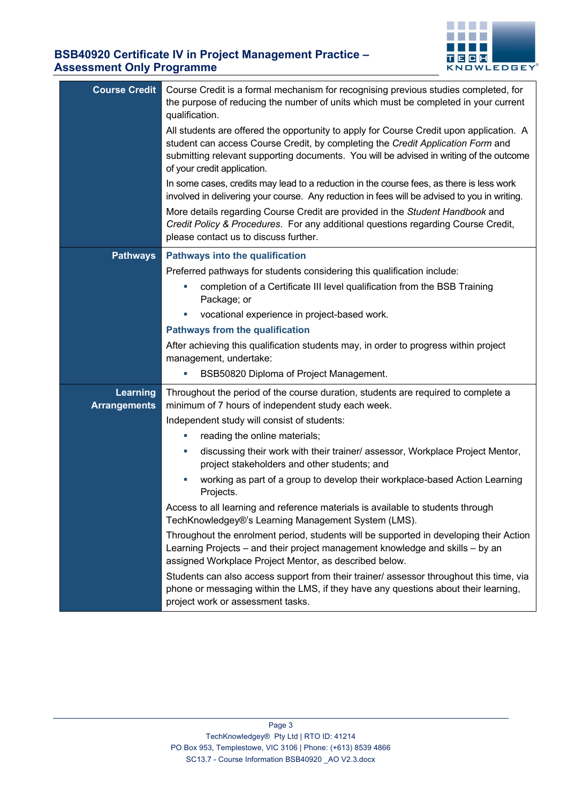

| <b>Course Credit</b> | Course Credit is a formal mechanism for recognising previous studies completed, for<br>the purpose of reducing the number of units which must be completed in your current<br>qualification.<br>All students are offered the opportunity to apply for Course Credit upon application. A<br>student can access Course Credit, by completing the Credit Application Form and<br>submitting relevant supporting documents. You will be advised in writing of the outcome<br>of your credit application. |  |  |  |
|----------------------|------------------------------------------------------------------------------------------------------------------------------------------------------------------------------------------------------------------------------------------------------------------------------------------------------------------------------------------------------------------------------------------------------------------------------------------------------------------------------------------------------|--|--|--|
|                      | In some cases, credits may lead to a reduction in the course fees, as there is less work<br>involved in delivering your course. Any reduction in fees will be advised to you in writing.                                                                                                                                                                                                                                                                                                             |  |  |  |
|                      | More details regarding Course Credit are provided in the Student Handbook and<br>Credit Policy & Procedures. For any additional questions regarding Course Credit,<br>please contact us to discuss further.                                                                                                                                                                                                                                                                                          |  |  |  |
| <b>Pathways</b>      | <b>Pathways into the qualification</b>                                                                                                                                                                                                                                                                                                                                                                                                                                                               |  |  |  |
|                      | Preferred pathways for students considering this qualification include:                                                                                                                                                                                                                                                                                                                                                                                                                              |  |  |  |
|                      | completion of a Certificate III level qualification from the BSB Training<br>ш<br>Package; or                                                                                                                                                                                                                                                                                                                                                                                                        |  |  |  |
|                      | vocational experience in project-based work.                                                                                                                                                                                                                                                                                                                                                                                                                                                         |  |  |  |
|                      | <b>Pathways from the qualification</b>                                                                                                                                                                                                                                                                                                                                                                                                                                                               |  |  |  |
|                      | After achieving this qualification students may, in order to progress within project<br>management, undertake:                                                                                                                                                                                                                                                                                                                                                                                       |  |  |  |
|                      | BSB50820 Diploma of Project Management.<br>L.                                                                                                                                                                                                                                                                                                                                                                                                                                                        |  |  |  |
| <b>Learning</b>      | Throughout the period of the course duration, students are required to complete a                                                                                                                                                                                                                                                                                                                                                                                                                    |  |  |  |
| <b>Arrangements</b>  | minimum of 7 hours of independent study each week.                                                                                                                                                                                                                                                                                                                                                                                                                                                   |  |  |  |
|                      | Independent study will consist of students:                                                                                                                                                                                                                                                                                                                                                                                                                                                          |  |  |  |
|                      | reading the online materials;<br>×.                                                                                                                                                                                                                                                                                                                                                                                                                                                                  |  |  |  |
|                      | discussing their work with their trainer/ assessor, Workplace Project Mentor,<br>×.<br>project stakeholders and other students; and                                                                                                                                                                                                                                                                                                                                                                  |  |  |  |
|                      | working as part of a group to develop their workplace-based Action Learning<br>Projects.                                                                                                                                                                                                                                                                                                                                                                                                             |  |  |  |
|                      | Access to all learning and reference materials is available to students through<br>TechKnowledgey®'s Learning Management System (LMS).                                                                                                                                                                                                                                                                                                                                                               |  |  |  |
|                      | Throughout the enrolment period, students will be supported in developing their Action<br>Learning Projects - and their project management knowledge and skills - by an<br>assigned Workplace Project Mentor, as described below.                                                                                                                                                                                                                                                                    |  |  |  |
|                      | Students can also access support from their trainer/ assessor throughout this time, via<br>phone or messaging within the LMS, if they have any questions about their learning,<br>project work or assessment tasks.                                                                                                                                                                                                                                                                                  |  |  |  |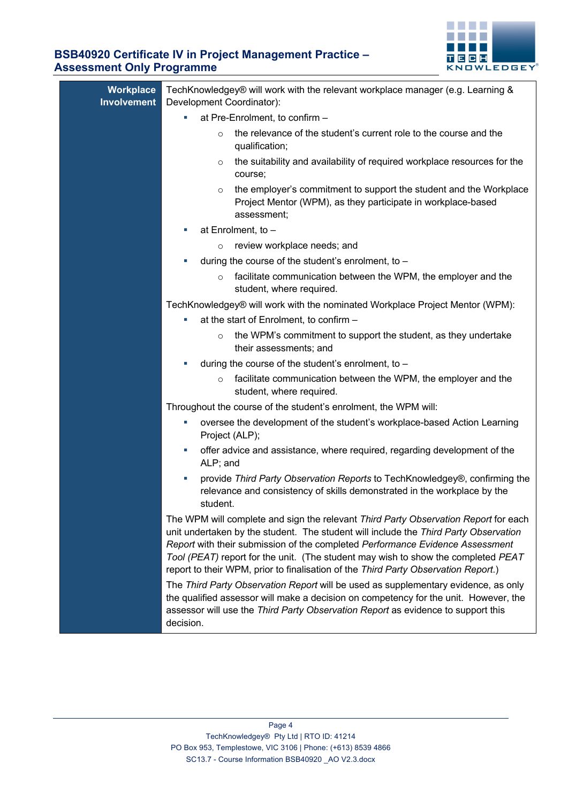

|    | Workplace<br><b>Involvement</b> | TechKnowledgey® will work with the relevant workplace manager (e.g. Learning &<br>Development Coordinator):                                                                                                                                                                                                                                                                                                                             |  |  |  |
|----|---------------------------------|-----------------------------------------------------------------------------------------------------------------------------------------------------------------------------------------------------------------------------------------------------------------------------------------------------------------------------------------------------------------------------------------------------------------------------------------|--|--|--|
|    |                                 | at Pre-Enrolment, to confirm -<br>ш                                                                                                                                                                                                                                                                                                                                                                                                     |  |  |  |
|    |                                 | the relevance of the student's current role to the course and the<br>$\circ$<br>qualification;                                                                                                                                                                                                                                                                                                                                          |  |  |  |
|    |                                 | the suitability and availability of required workplace resources for the<br>$\circ$<br>course;                                                                                                                                                                                                                                                                                                                                          |  |  |  |
|    |                                 | the employer's commitment to support the student and the Workplace<br>$\circ$<br>Project Mentor (WPM), as they participate in workplace-based<br>assessment;                                                                                                                                                                                                                                                                            |  |  |  |
|    |                                 | at Enrolment, to -<br>×.                                                                                                                                                                                                                                                                                                                                                                                                                |  |  |  |
|    |                                 | review workplace needs; and<br>$\circ$                                                                                                                                                                                                                                                                                                                                                                                                  |  |  |  |
|    |                                 | during the course of the student's enrolment, to -<br>ш                                                                                                                                                                                                                                                                                                                                                                                 |  |  |  |
|    |                                 | facilitate communication between the WPM, the employer and the<br>$\circ$<br>student, where required.                                                                                                                                                                                                                                                                                                                                   |  |  |  |
|    |                                 | TechKnowledgey® will work with the nominated Workplace Project Mentor (WPM):                                                                                                                                                                                                                                                                                                                                                            |  |  |  |
|    |                                 | at the start of Enrolment, to confirm -<br>×.                                                                                                                                                                                                                                                                                                                                                                                           |  |  |  |
|    |                                 | the WPM's commitment to support the student, as they undertake<br>$\circ$<br>their assessments; and                                                                                                                                                                                                                                                                                                                                     |  |  |  |
|    |                                 | during the course of the student's enrolment, to $-$<br>L.                                                                                                                                                                                                                                                                                                                                                                              |  |  |  |
|    |                                 | facilitate communication between the WPM, the employer and the<br>$\circ$<br>student, where required.                                                                                                                                                                                                                                                                                                                                   |  |  |  |
|    |                                 | Throughout the course of the student's enrolment, the WPM will:                                                                                                                                                                                                                                                                                                                                                                         |  |  |  |
| L. |                                 | oversee the development of the student's workplace-based Action Learning<br>Project (ALP);                                                                                                                                                                                                                                                                                                                                              |  |  |  |
|    |                                 | offer advice and assistance, where required, regarding development of the<br>×.<br>ALP; and                                                                                                                                                                                                                                                                                                                                             |  |  |  |
|    |                                 | provide Third Party Observation Reports to TechKnowledgey®, confirming the<br>×.<br>relevance and consistency of skills demonstrated in the workplace by the<br>student.                                                                                                                                                                                                                                                                |  |  |  |
|    |                                 | The WPM will complete and sign the relevant Third Party Observation Report for each<br>unit undertaken by the student. The student will include the Third Party Observation<br>Report with their submission of the completed Performance Evidence Assessment<br>Tool (PEAT) report for the unit. (The student may wish to show the completed PEAT<br>report to their WPM, prior to finalisation of the Third Party Observation Report.) |  |  |  |
|    |                                 | The Third Party Observation Report will be used as supplementary evidence, as only<br>the qualified assessor will make a decision on competency for the unit. However, the<br>assessor will use the Third Party Observation Report as evidence to support this<br>decision.                                                                                                                                                             |  |  |  |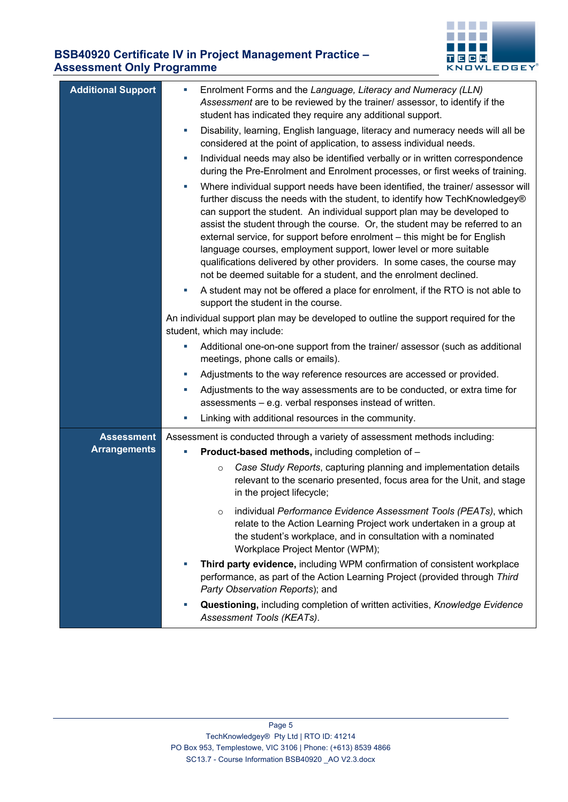#### **CONTRACTOR THE R** TECH **KNOWLEDGEY**

| <b>Additional Support</b> | Enrolment Forms and the Language, Literacy and Numeracy (LLN)<br>L,                                                                                                                                                                                                                                                                                                                                                                                                                                                                                                                                                                   |  |
|---------------------------|---------------------------------------------------------------------------------------------------------------------------------------------------------------------------------------------------------------------------------------------------------------------------------------------------------------------------------------------------------------------------------------------------------------------------------------------------------------------------------------------------------------------------------------------------------------------------------------------------------------------------------------|--|
|                           | Assessment are to be reviewed by the trainer/ assessor, to identify if the<br>student has indicated they require any additional support.                                                                                                                                                                                                                                                                                                                                                                                                                                                                                              |  |
|                           | Disability, learning, English language, literacy and numeracy needs will all be<br>ш<br>considered at the point of application, to assess individual needs.                                                                                                                                                                                                                                                                                                                                                                                                                                                                           |  |
|                           | Individual needs may also be identified verbally or in written correspondence<br>ш<br>during the Pre-Enrolment and Enrolment processes, or first weeks of training.                                                                                                                                                                                                                                                                                                                                                                                                                                                                   |  |
|                           | Where individual support needs have been identified, the trainer/ assessor will<br>ш<br>further discuss the needs with the student, to identify how TechKnowledgey®<br>can support the student. An individual support plan may be developed to<br>assist the student through the course. Or, the student may be referred to an<br>external service, for support before enrolment - this might be for English<br>language courses, employment support, lower level or more suitable<br>qualifications delivered by other providers. In some cases, the course may<br>not be deemed suitable for a student, and the enrolment declined. |  |
|                           | A student may not be offered a place for enrolment, if the RTO is not able to<br>ш<br>support the student in the course.                                                                                                                                                                                                                                                                                                                                                                                                                                                                                                              |  |
|                           | An individual support plan may be developed to outline the support required for the<br>student, which may include:                                                                                                                                                                                                                                                                                                                                                                                                                                                                                                                    |  |
|                           | Additional one-on-one support from the trainer/ assessor (such as additional<br>ш<br>meetings, phone calls or emails).                                                                                                                                                                                                                                                                                                                                                                                                                                                                                                                |  |
|                           | Adjustments to the way reference resources are accessed or provided.<br>ш                                                                                                                                                                                                                                                                                                                                                                                                                                                                                                                                                             |  |
|                           | Adjustments to the way assessments are to be conducted, or extra time for<br>×.<br>assessments - e.g. verbal responses instead of written.                                                                                                                                                                                                                                                                                                                                                                                                                                                                                            |  |
|                           | Linking with additional resources in the community.<br>×.                                                                                                                                                                                                                                                                                                                                                                                                                                                                                                                                                                             |  |
| <b>Assessment</b>         | Assessment is conducted through a variety of assessment methods including:                                                                                                                                                                                                                                                                                                                                                                                                                                                                                                                                                            |  |
| <b>Arrangements</b>       | Product-based methods, including completion of -                                                                                                                                                                                                                                                                                                                                                                                                                                                                                                                                                                                      |  |
|                           | Case Study Reports, capturing planning and implementation details<br>$\circ$<br>relevant to the scenario presented, focus area for the Unit, and stage<br>in the project lifecycle;                                                                                                                                                                                                                                                                                                                                                                                                                                                   |  |
|                           | individual Performance Evidence Assessment Tools (PEATs), which<br>$\circ$<br>relate to the Action Learning Project work undertaken in a group at<br>the student's workplace, and in consultation with a nominated<br>Workplace Project Mentor (WPM);                                                                                                                                                                                                                                                                                                                                                                                 |  |
|                           | Third party evidence, including WPM confirmation of consistent workplace<br>×<br>performance, as part of the Action Learning Project (provided through Third<br>Party Observation Reports); and                                                                                                                                                                                                                                                                                                                                                                                                                                       |  |
|                           | Questioning, including completion of written activities, Knowledge Evidence<br>×<br>Assessment Tools (KEATs).                                                                                                                                                                                                                                                                                                                                                                                                                                                                                                                         |  |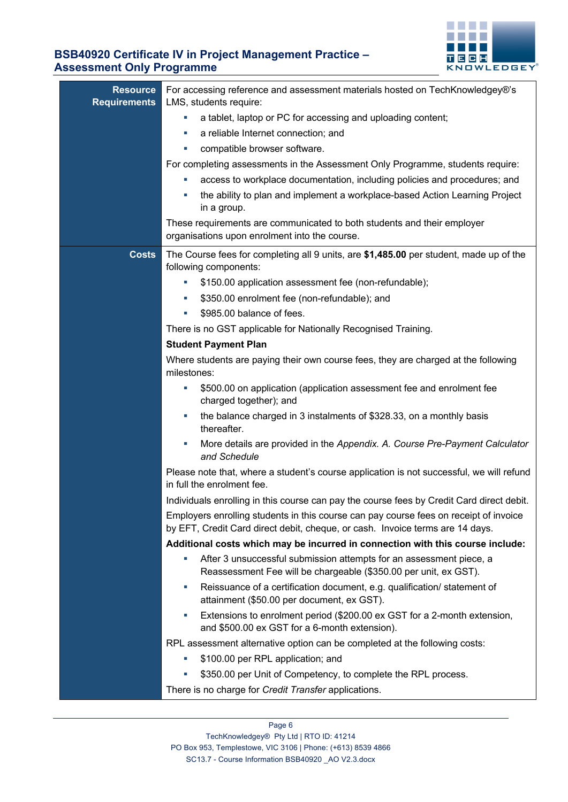

| <b>Resource</b><br><b>Requirements</b> | For accessing reference and assessment materials hosted on TechKnowledgey®'s<br>LMS, students require:                                                                 |  |  |  |  |
|----------------------------------------|------------------------------------------------------------------------------------------------------------------------------------------------------------------------|--|--|--|--|
|                                        | a tablet, laptop or PC for accessing and uploading content;<br>ш                                                                                                       |  |  |  |  |
|                                        | a reliable Internet connection; and<br>ш                                                                                                                               |  |  |  |  |
|                                        | compatible browser software.<br>ш                                                                                                                                      |  |  |  |  |
|                                        | For completing assessments in the Assessment Only Programme, students require:                                                                                         |  |  |  |  |
|                                        | access to workplace documentation, including policies and procedures; and<br>ш                                                                                         |  |  |  |  |
|                                        | the ability to plan and implement a workplace-based Action Learning Project<br>×.<br>in a group.                                                                       |  |  |  |  |
|                                        | These requirements are communicated to both students and their employer<br>organisations upon enrolment into the course.                                               |  |  |  |  |
| <b>Costs</b>                           | The Course fees for completing all 9 units, are \$1,485.00 per student, made up of the<br>following components:                                                        |  |  |  |  |
|                                        | \$150.00 application assessment fee (non-refundable);<br>ш                                                                                                             |  |  |  |  |
|                                        | \$350.00 enrolment fee (non-refundable); and<br>ш                                                                                                                      |  |  |  |  |
|                                        | \$985.00 balance of fees.<br>ш                                                                                                                                         |  |  |  |  |
|                                        | There is no GST applicable for Nationally Recognised Training.                                                                                                         |  |  |  |  |
|                                        | <b>Student Payment Plan</b>                                                                                                                                            |  |  |  |  |
|                                        | Where students are paying their own course fees, they are charged at the following<br>milestones:                                                                      |  |  |  |  |
|                                        | \$500.00 on application (application assessment fee and enrolment fee<br>L.<br>charged together); and                                                                  |  |  |  |  |
|                                        | the balance charged in 3 instalments of \$328.33, on a monthly basis<br>×.<br>thereafter.                                                                              |  |  |  |  |
|                                        | More details are provided in the Appendix. A. Course Pre-Payment Calculator<br>×.<br>and Schedule                                                                      |  |  |  |  |
|                                        | Please note that, where a student's course application is not successful, we will refund<br>in full the enrolment fee.                                                 |  |  |  |  |
|                                        | Individuals enrolling in this course can pay the course fees by Credit Card direct debit.                                                                              |  |  |  |  |
|                                        | Employers enrolling students in this course can pay course fees on receipt of invoice<br>by EFT, Credit Card direct debit, cheque, or cash. Invoice terms are 14 days. |  |  |  |  |
|                                        | Additional costs which may be incurred in connection with this course include:                                                                                         |  |  |  |  |
|                                        | After 3 unsuccessful submission attempts for an assessment piece, a<br>L.<br>Reassessment Fee will be chargeable (\$350.00 per unit, ex GST).                          |  |  |  |  |
|                                        | Reissuance of a certification document, e.g. qualification/ statement of<br>×<br>attainment (\$50.00 per document, ex GST).                                            |  |  |  |  |
|                                        | Extensions to enrolment period (\$200.00 ex GST for a 2-month extension,<br>ш<br>and \$500.00 ex GST for a 6-month extension).                                         |  |  |  |  |
|                                        | RPL assessment alternative option can be completed at the following costs:                                                                                             |  |  |  |  |
|                                        | \$100.00 per RPL application; and<br>×.                                                                                                                                |  |  |  |  |
|                                        | \$350.00 per Unit of Competency, to complete the RPL process.<br>×.                                                                                                    |  |  |  |  |
|                                        | There is no charge for Credit Transfer applications.                                                                                                                   |  |  |  |  |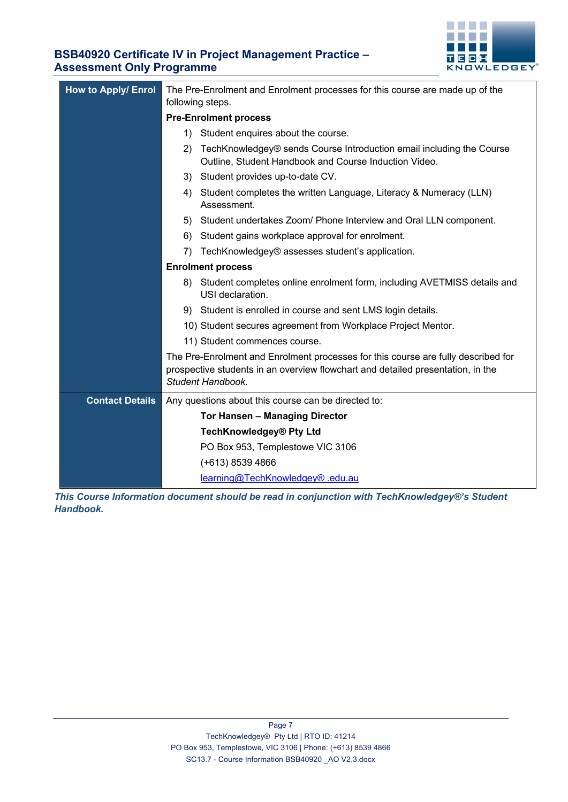

| <b>How to Apply/ Enrol</b> | The Pre-Enrolment and Enrolment processes for this course are made up of the<br>following steps.                                                                                          |                                                                                                                               |  |  |
|----------------------------|-------------------------------------------------------------------------------------------------------------------------------------------------------------------------------------------|-------------------------------------------------------------------------------------------------------------------------------|--|--|
|                            | <b>Pre-Enrolment process</b>                                                                                                                                                              |                                                                                                                               |  |  |
|                            | Student enquires about the course.<br>1)                                                                                                                                                  |                                                                                                                               |  |  |
|                            | 2)                                                                                                                                                                                        | TechKnowledgey® sends Course Introduction email including the Course<br>Outline, Student Handbook and Course Induction Video. |  |  |
|                            |                                                                                                                                                                                           | 3) Student provides up-to-date CV.                                                                                            |  |  |
|                            | 4)                                                                                                                                                                                        | Student completes the written Language, Literacy & Numeracy (LLN)<br>Assessment.                                              |  |  |
|                            | 5)                                                                                                                                                                                        | Student undertakes Zoom/ Phone Interview and Oral LLN component.                                                              |  |  |
|                            | 6)                                                                                                                                                                                        | Student gains workplace approval for enrolment.                                                                               |  |  |
|                            | 7)                                                                                                                                                                                        | TechKnowledgey® assesses student's application.                                                                               |  |  |
|                            |                                                                                                                                                                                           | <b>Enrolment process</b>                                                                                                      |  |  |
|                            | Student completes online enrolment form, including AVETMISS details and<br>8)<br>USI declaration.                                                                                         |                                                                                                                               |  |  |
|                            |                                                                                                                                                                                           | 9) Student is enrolled in course and sent LMS login details.                                                                  |  |  |
|                            |                                                                                                                                                                                           | 10) Student secures agreement from Workplace Project Mentor.                                                                  |  |  |
|                            |                                                                                                                                                                                           | 11) Student commences course.                                                                                                 |  |  |
|                            | The Pre-Enrolment and Enrolment processes for this course are fully described for<br>prospective students in an overview flowchart and detailed presentation, in the<br>Student Handbook. |                                                                                                                               |  |  |
| <b>Contact Details</b>     |                                                                                                                                                                                           | Any questions about this course can be directed to:                                                                           |  |  |
|                            | <b>Tor Hansen - Managing Director</b>                                                                                                                                                     |                                                                                                                               |  |  |
|                            | <b>TechKnowledgey® Pty Ltd</b>                                                                                                                                                            |                                                                                                                               |  |  |
|                            |                                                                                                                                                                                           | PO Box 953, Templestowe VIC 3106                                                                                              |  |  |
|                            | (+613) 8539 4866                                                                                                                                                                          |                                                                                                                               |  |  |
|                            | learning@TechKnowledgey® .edu.au                                                                                                                                                          |                                                                                                                               |  |  |

*This Course Information document should be read in conjunction with TechKnowledgey®'s Student Handbook.*